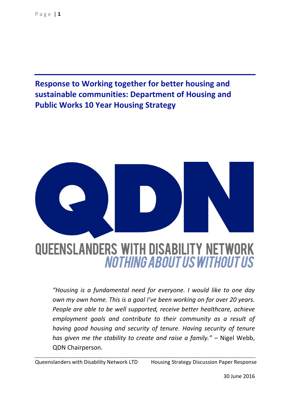**Response to Working together for better housing and sustainable communities: Department of Housing and Public Works 10 Year Housing Strategy**



*"Housing is a fundamental need for everyone. I would like to one day own my own home. This is a goal I've been working on for over 20 years. People are able to be well supported, receive better healthcare, achieve employment goals and contribute to their community as a result of having good housing and security of tenure. Having security of tenure has given me the stability to create and raise a family."* – Nigel Webb, QDN Chairperson.

Queenslanders with Disability Network LTD Housing Strategy Discussion Paper Response

30 June 2016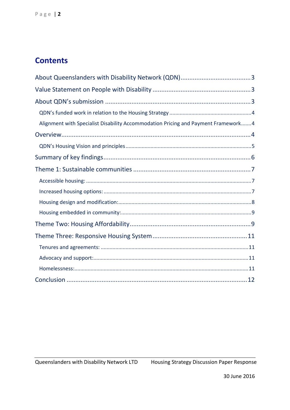# **Contents**

| Alignment with Specialist Disability Accommodation Pricing and Payment Framework 4 |
|------------------------------------------------------------------------------------|
|                                                                                    |
|                                                                                    |
|                                                                                    |
|                                                                                    |
|                                                                                    |
|                                                                                    |
|                                                                                    |
|                                                                                    |
|                                                                                    |
|                                                                                    |
|                                                                                    |
|                                                                                    |
|                                                                                    |
|                                                                                    |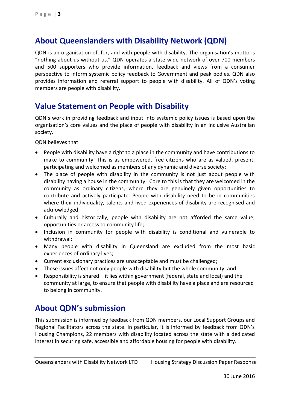## <span id="page-2-0"></span>**About Queenslanders with Disability Network (QDN)**

QDN is an organisation of, for, and with people with disability. The organisation's motto is "nothing about us without us." QDN operates a state-wide network of over 700 members and 500 supporters who provide information, feedback and views from a consumer perspective to inform systemic policy feedback to Government and peak bodies. QDN also provides information and referral support to people with disability. All of QDN's voting members are people with disability.

## <span id="page-2-1"></span>**Value Statement on People with Disability**

QDN's work in providing feedback and input into systemic policy issues is based upon the organisation's core values and the place of people with disability in an inclusive Australian society.

QDN believes that:

- People with disability have a right to a place in the community and have contributions to make to community. This is as empowered, free citizens who are as valued, present, participating and welcomed as members of any dynamic and diverse society;
- The place of people with disability in the community is not just about people with disability having a house in the community. Core to this is that they are welcomed in the community as ordinary citizens, where they are genuinely given opportunities to contribute and actively participate. People with disability need to be in communities where their individuality, talents and lived experiences of disability are recognised and acknowledged;
- Culturally and historically, people with disability are not afforded the same value, opportunities or access to community life;
- Inclusion in community for people with disability is conditional and vulnerable to withdrawal;
- Many people with disability in Queensland are excluded from the most basic experiences of ordinary lives;
- Current exclusionary practices are unacceptable and must be challenged;
- These issues affect not only people with disability but the whole community; and
- Responsibility is shared it lies within government (federal, state and local) and the community at large, to ensure that people with disability have a place and are resourced to belong in community.

## <span id="page-2-2"></span>**About QDN's submission**

This submission is informed by feedback from QDN members, our Local Support Groups and Regional Facilitators across the state. In particular, it is informed by feedback from QDN's Housing Champions, 22 members with disability located across the state with a dedicated interest in securing safe, accessible and affordable housing for people with disability.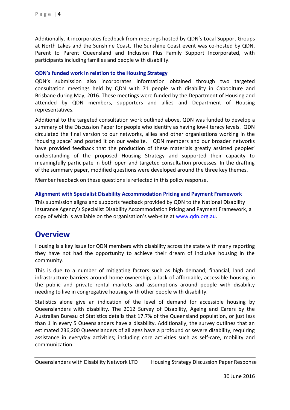Additionally, it incorporates feedback from meetings hosted by QDN's Local Support Groups at North Lakes and the Sunshine Coast. The Sunshine Coast event was co-hosted by QDN, Parent to Parent Queensland and Inclusion Plus Family Support Incorporated, with participants including families and people with disability.

#### <span id="page-3-0"></span>**QDN's funded work in relation to the Housing Strategy**

QDN's submission also incorporates information obtained through two targeted consultation meetings held by QDN with 71 people with disability in Caboolture and Brisbane during May, 2016. These meetings were funded by the Department of Housing and attended by QDN members, supporters and allies and Department of Housing representatives.

Additional to the targeted consultation work outlined above, QDN was funded to develop a summary of the Discussion Paper for people who identify as having low-literacy levels. QDN circulated the final version to our networks, allies and other organisations working in the 'housing space' and posted it on our website. QDN members and our broader networks have provided feedback that the production of these materials greatly assisted peoples' understanding of the proposed Housing Strategy and supported their capacity to meaningfully participate in both open and targeted consultation processes. In the drafting of the summary paper, modified questions were developed around the three key themes.

Member feedback on these questions is reflected in this policy response.

#### <span id="page-3-1"></span>**Alignment with Specialist Disability Accommodation Pricing and Payment Framework**

This submission aligns and supports feedback provided by QDN to the National Disability Insurance Agency's Specialist Disability Accommodation Pricing and Payment Framework, a copy of which is available on the organisation's web-site at [www.qdn.org.au.](http://www.qdn.org.au/)

### <span id="page-3-2"></span>**Overview**

Housing is a key issue for QDN members with disability across the state with many reporting they have not had the opportunity to achieve their dream of inclusive housing in the community.

This is due to a number of mitigating factors such as high demand; financial, land and infrastructure barriers around home ownership; a lack of affordable, accessible housing in the public and private rental markets and assumptions around people with disability needing to live in congregative housing with other people with disability.

Statistics alone give an indication of the level of demand for accessible housing by Queenslanders with disability. The 2012 Survey of Disability, Ageing and Carers by the Australian Bureau of Statistics details that 17.7% of the Queensland population, or just less than 1 in every 5 Queenslanders have a disability. Additionally, the survey outlines that an estimated 236,200 Queenslanders of all ages have a profound or severe disability, requiring assistance in everyday activities; including core activities such as self-care, mobility and communication.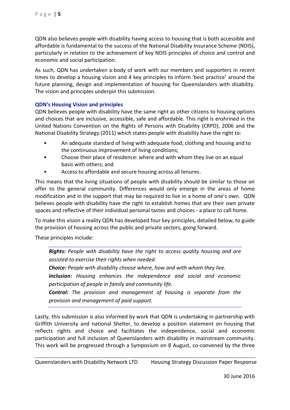QDN also believes people with disability having access to housing that is both accessible and affordable is fundamental to the success of the National Disability Insurance Scheme (NDIS), particularly in relation to the achievement of key NDIS principles of choice and control and economic and social participation.

As such, QDN has undertaken a body of work with our members and supporters in recent times to develop a housing vision and 4 key principles to inform 'best practice' around the future planning, design and implementation of housing for Queenslanders with disability. The vision and principles underpin this submission.

#### <span id="page-4-0"></span>**QDN's Housing Vision and principles**

QDN believes people with disability have the same right as other citizens to housing options and choices that are inclusive, accessible, safe and affordable. This right is enshrined in the United Nations Convention on the Rights of Persons with Disability (CRPD), 2006 and the National Disability Strategy (2011) which states people with disability have the right to:

- An adequate standard of living with adequate food, clothing and housing and to the continuous improvement of living conditions;
- Choose their place of residence: where and with whom they live on an equal basis with others; and
- Access to affordable and secure housing across all tenures.

This means that the living situations of people with disability should be similar to those on offer to the general community. Differences would only emerge in the areas of home modification and in the support that may be required to live in a home of one's own. QDN believes people with disability have the right to establish homes that are their own private spaces and reflective of their individual personal tastes and choices - a place to call home.

To make this vision a reality QDN has developed four key principles, detailed below, to guide the provision of housing across the public and private sectors, going forward.

These principles include:

*Rights: People with disability have the right to access quality housing and are assisted to exercise their rights when needed.*

*Choice: People with disability choose where, how and with whom they live.*

*Inclusion: Housing enhances the independence and social and economic participation of people in family and community life.*

*Control: The provision and management of housing is separate from the provision and management of paid support.*

Lastly, this submission is also informed by work that QDN is undertaking in partnership with Griffith University and national Shelter, to develop a position statement on housing that reflects rights and choice and facilitates the independence, social and economic participation and full inclusion of Queenslanders with disability in mainstream community. This work will be progressed through a Symposium on 8 August, co-convened by the three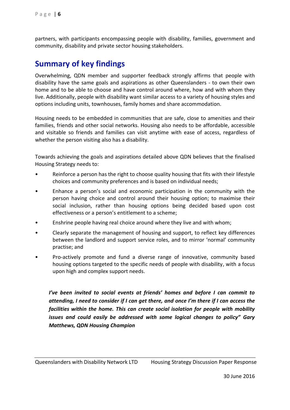partners, with participants encompassing people with disability, families, government and community, disability and private sector housing stakeholders.

## <span id="page-5-0"></span>**Summary of key findings**

Overwhelming, QDN member and supporter feedback strongly affirms that people with disability have the same goals and aspirations as other Queenslanders - to own their own home and to be able to choose and have control around where, how and with whom they live. Additionally, people with disability want similar access to a variety of housing styles and options including units, townhouses, family homes and share accommodation.

Housing needs to be embedded in communities that are safe, close to amenities and their families, friends and other social networks. Housing also needs to be affordable, accessible and visitable so friends and families can visit anytime with ease of access, regardless of whether the person visiting also has a disability.

Towards achieving the goals and aspirations detailed above QDN believes that the finalised Housing Strategy needs to:

- Reinforce a person has the right to choose quality housing that fits with their lifestyle choices and community preferences and is based on individual needs;
- Enhance a person's social and economic participation in the community with the person having choice and control around their housing option; to maximise their social inclusion, rather than housing options being decided based upon cost effectiveness or a person's entitlement to a scheme;
- Enshrine people having real choice around where they live and with whom;
- Clearly separate the management of housing and support, to reflect key differences between the landlord and support service roles, and to mirror 'normal' community practise; and
- Pro-actively promote and fund a diverse range of innovative, community based housing options targeted to the specific needs of people with disability, with a focus upon high and complex support needs.

*I've been invited to social events at friends' homes and before I can commit to attending, I need to consider if I can get there, and once I'm there if I can access the facilities within the home. This can create social isolation for people with mobility issues and could easily be addressed with some logical changes to policy" Gary Matthews, QDN Housing Champion*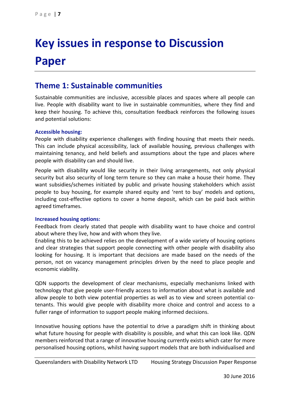# **Key issues in response to Discussion Paper**

## <span id="page-6-0"></span>**Theme 1: Sustainable communities**

Sustainable communities are inclusive, accessible places and spaces where all people can live. People with disability want to live in sustainable communities, where they find and keep their housing. To achieve this, consultation feedback reinforces the following issues and potential solutions:

#### <span id="page-6-1"></span>**Accessible housing:**

People with disability experience challenges with finding housing that meets their needs. This can include physical accessibility, lack of available housing, previous challenges with maintaining tenancy, and held beliefs and assumptions about the type and places where people with disability can and should live.

People with disability would like security in their living arrangements, not only physical security but also security of long term tenure so they can make a house their home. They want subsidies/schemes initiated by public and private housing stakeholders which assist people to buy housing, for example shared equity and 'rent to buy' models and options, including cost-effective options to cover a home deposit, which can be paid back within agreed timeframes.

#### <span id="page-6-2"></span>**Increased housing options:**

Feedback from clearly stated that people with disability want to have choice and control about where they live, how and with whom they live.

Enabling this to be achieved relies on the development of a wide variety of housing options and clear strategies that support people connecting with other people with disability also looking for housing. It is important that decisions are made based on the needs of the person, not on vacancy management principles driven by the need to place people and economic viability.

QDN supports the development of clear mechanisms, especially mechanisms linked with technology that give people user-friendly access to information about what is available and allow people to both view potential properties as well as to view and screen potential cotenants. This would give people with disability more choice and control and access to a fuller range of information to support people making informed decisions.

Innovative housing options have the potential to drive a paradigm shift in thinking about what future housing for people with disability is possible, and what this can look like. QDN members reinforced that a range of innovative housing currently exists which cater for more personalised housing options, whilst having support models that are both individualised and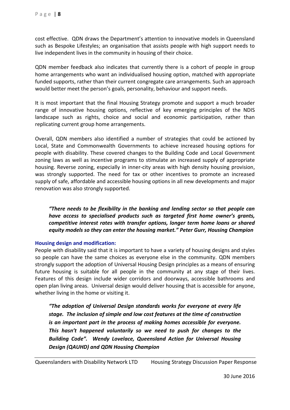cost effective. QDN draws the Department's attention to innovative models in Queensland such as Bespoke Lifestyles; an organisation that assists people with high support needs to live independent lives in the community in housing of their choice.

QDN member feedback also indicates that currently there is a cohort of people in group home arrangements who want an individualised housing option, matched with appropriate funded supports, rather than their current congregate care arrangements. Such an approach would better meet the person's goals, personality, behaviour and support needs.

It is most important that the final Housing Strategy promote and support a much broader range of innovative housing options, reflective of key emerging principles of the NDIS landscape such as rights, choice and social and economic participation, rather than replicating current group home arrangements.

Overall, QDN members also identified a number of strategies that could be actioned by Local, State and Commonwealth Governments to achieve increased housing options for people with disability. These covered changes to the Building Code and Local Government zoning laws as well as incentive programs to stimulate an increased supply of appropriate housing. Reverse zoning, especially in inner-city areas with high density housing provision, was strongly supported. The need for tax or other incentives to promote an increased supply of safe, affordable and accessible housing options in all new developments and major renovation was also strongly supported.

*"There needs to be flexibility in the banking and lending sector so that people can have access to specialised products such as targeted first home owner's grants, competitive interest rates with transfer options, longer term home loans or shared equity models so they can enter the housing market." Peter Gurr, Housing Champion*

#### <span id="page-7-0"></span>**Housing design and modification:**

People with disability said that it is important to have a variety of housing designs and styles so people can have the same choices as everyone else in the community. QDN members strongly support the adoption of Universal Housing Design principles as a means of ensuring future housing is suitable for all people in the community at any stage of their lives. Features of this design include wider corridors and doorways, accessible bathrooms and open plan living areas. Universal design would deliver housing that is accessible for anyone, whether living in the home or visiting it.

*"The adoption of Universal Design standards works for everyone at every life stage. The inclusion of simple and low cost features at the time of construction is an important part in the process of making homes accessible for everyone. This hasn't happened voluntarily so we need to push for changes to the Building Code". Wendy Lovelace, Queensland Action for Universal Housing Design (QAUHD) and QDN Housing Champion*

Queenslanders with Disability Network LTD Housing Strategy Discussion Paper Response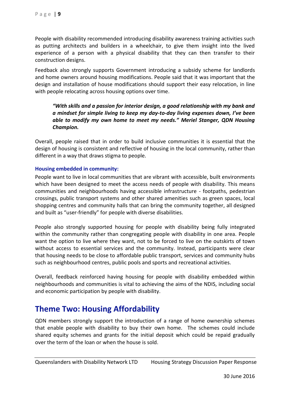People with disability recommended introducing disability awareness training activities such as putting architects and builders in a wheelchair, to give them insight into the lived experience of a person with a physical disability that they can then transfer to their construction designs.

Feedback also strongly supports Government introducing a subsidy scheme for landlords and home owners around housing modifications. People said that it was important that the design and installation of house modifications should support their easy relocation, in line with people relocating across housing options over time.

*"With skills and a passion for interior design, a good relationship with my bank and a mindset for simple living to keep my day-to-day living expenses down, I've been able to modify my own home to meet my needs." Meriel Stanger, QDN Housing Champion.* 

Overall, people raised that in order to build inclusive communities it is essential that the design of housing is consistent and reflective of housing in the local community, rather than different in a way that draws stigma to people.

#### <span id="page-8-0"></span>**Housing embedded in community:**

People want to live in local communities that are vibrant with accessible, built environments which have been designed to meet the access needs of people with disability. This means communities and neighbourhoods having accessible infrastructure - footpaths, pedestrian crossings, public transport systems and other shared amenities such as green spaces, local shopping centres and community halls that can bring the community together, all designed and built as "user-friendly" for people with diverse disabilities.

People also strongly supported housing for people with disability being fully integrated within the community rather than congregating people with disability in one area. People want the option to live where they want, not to be forced to live on the outskirts of town without access to essential services and the community. Instead, participants were clear that housing needs to be close to affordable public transport, services and community hubs such as neighbourhood centres, public pools and sports and recreational activities.

Overall, feedback reinforced having housing for people with disability embedded within neighbourhoods and communities is vital to achieving the aims of the NDIS, including social and economic participation by people with disability.

## <span id="page-8-1"></span>**Theme Two: Housing Affordability**

QDN members strongly support the introduction of a range of home ownership schemes that enable people with disability to buy their own home. The schemes could include shared equity schemes and grants for the initial deposit which could be repaid gradually over the term of the loan or when the house is sold.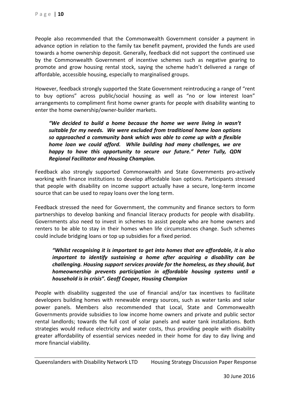People also recommended that the Commonwealth Government consider a payment in advance option in relation to the family tax benefit payment, provided the funds are used towards a home ownership deposit. Generally, feedback did not support the continued use by the Commonwealth Government of incentive schemes such as negative gearing to promote and grow housing rental stock, saying the scheme hadn't delivered a range of affordable, accessible housing, especially to marginalised groups.

However, feedback strongly supported the State Government reintroducing a range of "rent to buy options" across public/social housing as well as "no or low interest loan" arrangements to compliment first home owner grants for people with disability wanting to enter the home ownership/owner-builder markets.

*"We decided to build a home because the home we were living in wasn't suitable for my needs. We were excluded from traditional home loan options so approached a community bank which was able to come up with a flexible home loan we could afford. While building had many challenges, we are happy to have this opportunity to secure our future." Peter Tully, QDN Regional Facilitator and Housing Champion.*

Feedback also strongly supported Commonwealth and State Governments pro-actively working with finance institutions to develop affordable loan options. Participants stressed that people with disability on income support actually have a secure, long-term income source that can be used to repay loans over the long term.

Feedback stressed the need for Government, the community and finance sectors to form partnerships to develop banking and financial literacy products for people with disability. Governments also need to invest in schemes to assist people who are home owners and renters to be able to stay in their homes when life circumstances change. Such schemes could include bridging loans or top up subsidies for a fixed period.

*"Whilst recognising it is important to get into homes that are affordable, it is also important to identify sustaining a home after acquiring a disability can be challenging. Housing support services provide for the homeless, as they should, but homeownership prevents participation in affordable housing systems until a household is in crisis". Geoff Cooper, Housing Champion*

People with disability suggested the use of financial and/or tax incentives to facilitate developers building homes with renewable energy sources, such as water tanks and solar power panels. Members also recommended that Local, State and Commonwealth Governments provide subsidies to low income home owners and private and public sector rental landlords; towards the full cost of solar panels and water tank installations. Both strategies would reduce electricity and water costs, thus providing people with disability greater affordability of essential services needed in their home for day to day living and more financial viability.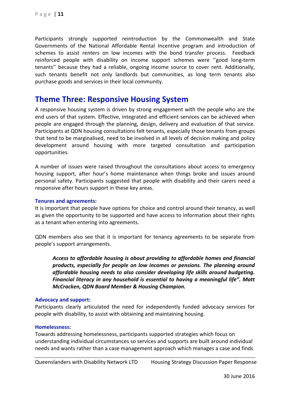Participants strongly supported reintroduction by the Commonwealth and State Governments of the National Affordable Rental Incentive program and introduction of schemes to assist renters on low incomes with the bond transfer process. Feedback reinforced people with disability on income support schemes were ''good long-term tenants'' because they had a reliable, ongoing income source to cover rent. Additionally, such tenants benefit not only landlords but communities, as long term tenants also purchase goods and services in their local community.

## <span id="page-10-0"></span>**Theme Three: Responsive Housing System**

A responsive housing system is driven by strong engagement with the people who are the end users of that system. Effective, integrated and efficient services can be achieved when people are engaged through the planning, design, delivery and evaluation of that service. Participants at QDN housing consultations felt tenants, especially those tenants from groups that tend to be marginalised, need to be involved in all levels of decision making and policy development around housing with more targeted consultation and participation opportunities.

A number of issues were raised throughout the consultations about access to emergency housing support, after hour's home maintenance when things broke and issues around personal safety. Participants suggested that people with disability and their carers need a responsive after hours support in these key areas.

#### <span id="page-10-1"></span>**Tenures and agreements:**

It is important that people have options for choice and control around their tenancy, as well as given the opportunity to be supported and have access to information about their rights as a tenant when entering into agreements.

QDN members also see that it is important for tenancy agreements to be separate from people's support arrangements.

*Access to affordable housing is about providing to affordable homes and financial products, especially for people on low incomes or pensions. The planning around affordable housing needs to also consider developing life skills around budgeting. Financial literacy in any household is essential to having a meaningful life". Matt McCracken, QDN Board Member & Housing Champion.*

#### <span id="page-10-2"></span>**Advocacy and support:**

Participants clearly articulated the need for independently funded advocacy services for people with disability, to assist with obtaining and maintaining housing.

#### <span id="page-10-3"></span>**Homelessness:**

Towards addressing homelessness, participants supported strategies which focus on understanding individual circumstances so services and supports are built around individual needs and wants rather than a case management approach which manages a case and finds

Queenslanders with Disability Network LTD Housing Strategy Discussion Paper Response